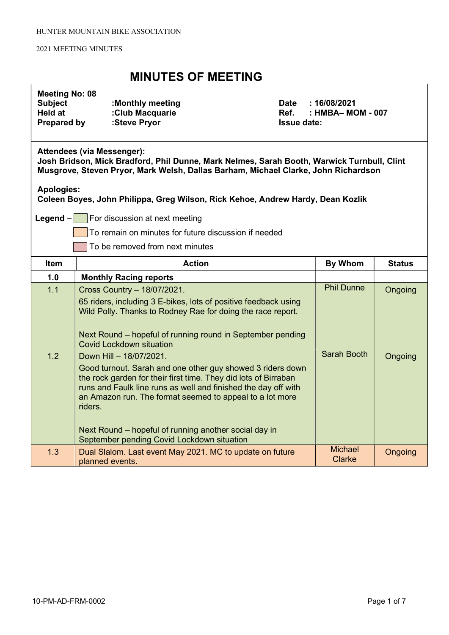### MINUTES OF MEETING

| <b>Meeting No: 08</b> |  |  |
|-----------------------|--|--|
|-----------------------|--|--|

| <b>Subject</b>     | :Monthly meeting |
|--------------------|------------------|
| Held at            | :Club Macquarie  |
| <b>Prepared by</b> | :Steve Pryor     |

Date : 16/08/2021  $Ref.$  : HMBA– MOM - 007 **Issue date:** 

#### Attendees (via Messenger):

Josh Bridson, Mick Bradford, Phil Dunne, Mark Nelmes, Sarah Booth, Warwick Turnbull, Clint Musgrove, Steven Pryor, Mark Welsh, Dallas Barham, Michael Clarke, John Richardson

### Apologies:

Coleen Boyes, John Philippa, Greg Wilson, Rick Kehoe, Andrew Hardy, Dean Kozlik

**Legend – For discussion at next meeting** 

To remain on minutes for future discussion if needed

To be removed from next minutes

| <b>Item</b> | <b>Action</b>                                                                                                                                                                                                                                                                                                                                                                                            | By Whom                         | <b>Status</b> |
|-------------|----------------------------------------------------------------------------------------------------------------------------------------------------------------------------------------------------------------------------------------------------------------------------------------------------------------------------------------------------------------------------------------------------------|---------------------------------|---------------|
| 1.0         | <b>Monthly Racing reports</b>                                                                                                                                                                                                                                                                                                                                                                            |                                 |               |
| 1.1         | Cross Country - 18/07/2021.<br>65 riders, including 3 E-bikes, lots of positive feedback using<br>Wild Polly. Thanks to Rodney Rae for doing the race report.<br>Next Round – hopeful of running round in September pending<br><b>Covid Lockdown situation</b>                                                                                                                                           | <b>Phil Dunne</b>               | Ongoing       |
| 1.2         | Down Hill - 18/07/2021.<br>Good turnout. Sarah and one other guy showed 3 riders down<br>the rock garden for their first time. They did lots of Birraban<br>runs and Faulk line runs as well and finished the day off with<br>an Amazon run. The format seemed to appeal to a lot more<br>riders.<br>Next Round – hopeful of running another social day in<br>September pending Covid Lockdown situation | Sarah Booth                     | Ongoing       |
| 1.3         | Dual Slalom. Last event May 2021. MC to update on future<br>planned events.                                                                                                                                                                                                                                                                                                                              | <b>Michael</b><br><b>Clarke</b> | Ongoing       |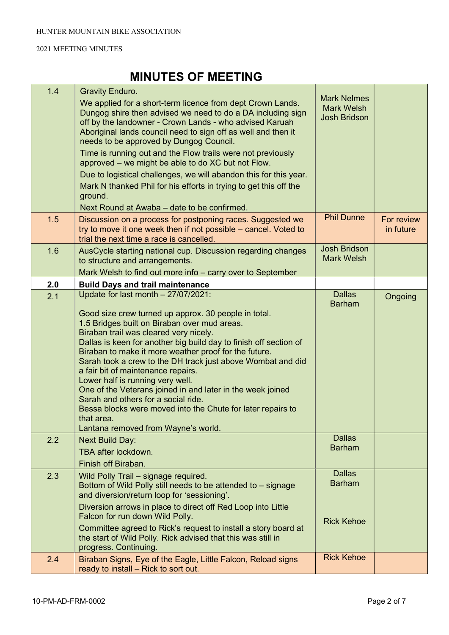| 1.4 | <b>Gravity Enduro.</b>                                                                                                                                                                                                                                                                                                                                                                                                                                                                                                                                                                                                                         |                                                                |                         |
|-----|------------------------------------------------------------------------------------------------------------------------------------------------------------------------------------------------------------------------------------------------------------------------------------------------------------------------------------------------------------------------------------------------------------------------------------------------------------------------------------------------------------------------------------------------------------------------------------------------------------------------------------------------|----------------------------------------------------------------|-------------------------|
|     | We applied for a short-term licence from dept Crown Lands.<br>Dungog shire then advised we need to do a DA including sign<br>off by the landowner - Crown Lands - who advised Karuah<br>Aboriginal lands council need to sign off as well and then it<br>needs to be approved by Dungog Council.                                                                                                                                                                                                                                                                                                                                               | <b>Mark Nelmes</b><br><b>Mark Welsh</b><br><b>Josh Bridson</b> |                         |
|     | Time is running out and the Flow trails were not previously<br>approved – we might be able to do XC but not Flow.                                                                                                                                                                                                                                                                                                                                                                                                                                                                                                                              |                                                                |                         |
|     | Due to logistical challenges, we will abandon this for this year.                                                                                                                                                                                                                                                                                                                                                                                                                                                                                                                                                                              |                                                                |                         |
|     | Mark N thanked Phil for his efforts in trying to get this off the<br>ground.                                                                                                                                                                                                                                                                                                                                                                                                                                                                                                                                                                   |                                                                |                         |
|     | Next Round at Awaba – date to be confirmed.                                                                                                                                                                                                                                                                                                                                                                                                                                                                                                                                                                                                    |                                                                |                         |
| 1.5 | Discussion on a process for postponing races. Suggested we<br>try to move it one week then if not possible – cancel. Voted to<br>trial the next time a race is cancelled.                                                                                                                                                                                                                                                                                                                                                                                                                                                                      | <b>Phil Dunne</b>                                              | For review<br>in future |
| 1.6 | AusCycle starting national cup. Discussion regarding changes<br>to structure and arrangements.                                                                                                                                                                                                                                                                                                                                                                                                                                                                                                                                                 | <b>Josh Bridson</b><br><b>Mark Welsh</b>                       |                         |
|     | Mark Welsh to find out more info – carry over to September                                                                                                                                                                                                                                                                                                                                                                                                                                                                                                                                                                                     |                                                                |                         |
| 2.0 | <b>Build Days and trail maintenance</b>                                                                                                                                                                                                                                                                                                                                                                                                                                                                                                                                                                                                        |                                                                |                         |
| 2.1 | Update for last month - 27/07/2021:                                                                                                                                                                                                                                                                                                                                                                                                                                                                                                                                                                                                            | <b>Dallas</b><br><b>Barham</b>                                 | Ongoing                 |
|     | Good size crew turned up approx. 30 people in total.<br>1.5 Bridges built on Biraban over mud areas.<br>Biraban trail was cleared very nicely.<br>Dallas is keen for another big build day to finish off section of<br>Biraban to make it more weather proof for the future.<br>Sarah took a crew to the DH track just above Wombat and did<br>a fair bit of maintenance repairs.<br>Lower half is running very well.<br>One of the Veterans joined in and later in the week joined<br>Sarah and others for a social ride.<br>Bessa blocks were moved into the Chute for later repairs to<br>that area.<br>Lantana removed from Wayne's world. |                                                                |                         |
| 2.2 | <b>Next Build Day:</b><br>TBA after lockdown.<br>Finish off Biraban.                                                                                                                                                                                                                                                                                                                                                                                                                                                                                                                                                                           | <b>Dallas</b><br><b>Barham</b>                                 |                         |
| 2.3 | Wild Polly Trail - signage required.<br>Bottom of Wild Polly still needs to be attended to - signage<br>and diversion/return loop for 'sessioning'.                                                                                                                                                                                                                                                                                                                                                                                                                                                                                            | <b>Dallas</b><br><b>Barham</b>                                 |                         |
|     | Diversion arrows in place to direct off Red Loop into Little<br>Falcon for run down Wild Polly.<br>Committee agreed to Rick's request to install a story board at<br>the start of Wild Polly. Rick advised that this was still in<br>progress. Continuing.                                                                                                                                                                                                                                                                                                                                                                                     | <b>Rick Kehoe</b>                                              |                         |
| 2.4 | Biraban Signs, Eye of the Eagle, Little Falcon, Reload signs<br>ready to install - Rick to sort out.                                                                                                                                                                                                                                                                                                                                                                                                                                                                                                                                           | <b>Rick Kehoe</b>                                              |                         |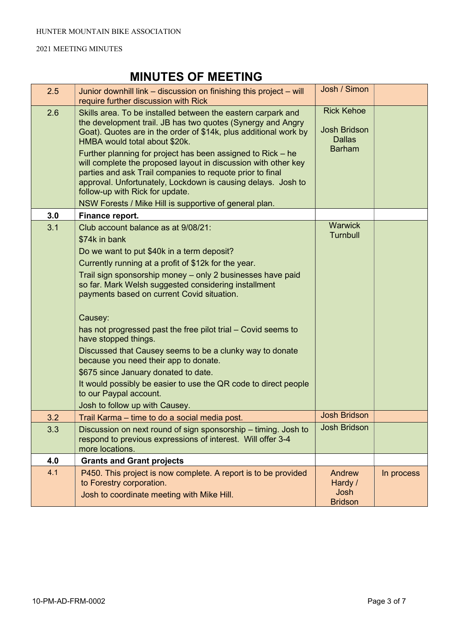| 2.5 | Junior downhill link – discussion on finishing this project – will<br>require further discussion with Rick                                                                                                                                                                                                                                                                                                                                                                                                                                                                                                                                                                                                     | Josh / Simon                                                               |            |
|-----|----------------------------------------------------------------------------------------------------------------------------------------------------------------------------------------------------------------------------------------------------------------------------------------------------------------------------------------------------------------------------------------------------------------------------------------------------------------------------------------------------------------------------------------------------------------------------------------------------------------------------------------------------------------------------------------------------------------|----------------------------------------------------------------------------|------------|
| 2.6 | Skills area. To be installed between the eastern carpark and<br>the development trail. JB has two quotes (Synergy and Angry<br>Goat). Quotes are in the order of \$14k, plus additional work by<br>HMBA would total about \$20k.<br>Further planning for project has been assigned to Rick – he<br>will complete the proposed layout in discussion with other key<br>parties and ask Trail companies to requote prior to final<br>approval. Unfortunately, Lockdown is causing delays. Josh to<br>follow-up with Rick for update.<br>NSW Forests / Mike Hill is supportive of general plan.                                                                                                                    | <b>Rick Kehoe</b><br><b>Josh Bridson</b><br><b>Dallas</b><br><b>Barham</b> |            |
| 3.0 | Finance report.                                                                                                                                                                                                                                                                                                                                                                                                                                                                                                                                                                                                                                                                                                |                                                                            |            |
| 3.1 | Club account balance as at 9/08/21:<br>\$74k in bank<br>Do we want to put \$40k in a term deposit?<br>Currently running at a profit of \$12k for the year.<br>Trail sign sponsorship money - only 2 businesses have paid<br>so far. Mark Welsh suggested considering installment<br>payments based on current Covid situation.<br>Causey:<br>has not progressed past the free pilot trial – Covid seems to<br>have stopped things.<br>Discussed that Causey seems to be a clunky way to donate<br>because you need their app to donate.<br>\$675 since January donated to date.<br>It would possibly be easier to use the QR code to direct people<br>to our Paypal account.<br>Josh to follow up with Causey. | <b>Warwick</b><br><b>Turnbull</b>                                          |            |
| 3.2 | Trail Karma - time to do a social media post.                                                                                                                                                                                                                                                                                                                                                                                                                                                                                                                                                                                                                                                                  | <b>Josh Bridson</b>                                                        |            |
| 3.3 | Discussion on next round of sign sponsorship - timing. Josh to<br>respond to previous expressions of interest. Will offer 3-4<br>more locations.                                                                                                                                                                                                                                                                                                                                                                                                                                                                                                                                                               | <b>Josh Bridson</b>                                                        |            |
| 4.0 | <b>Grants and Grant projects</b>                                                                                                                                                                                                                                                                                                                                                                                                                                                                                                                                                                                                                                                                               |                                                                            |            |
| 4.1 | P450. This project is now complete. A report is to be provided<br>to Forestry corporation.<br>Josh to coordinate meeting with Mike Hill.                                                                                                                                                                                                                                                                                                                                                                                                                                                                                                                                                                       | Andrew<br>Hardy /<br>Josh<br><b>Bridson</b>                                | In process |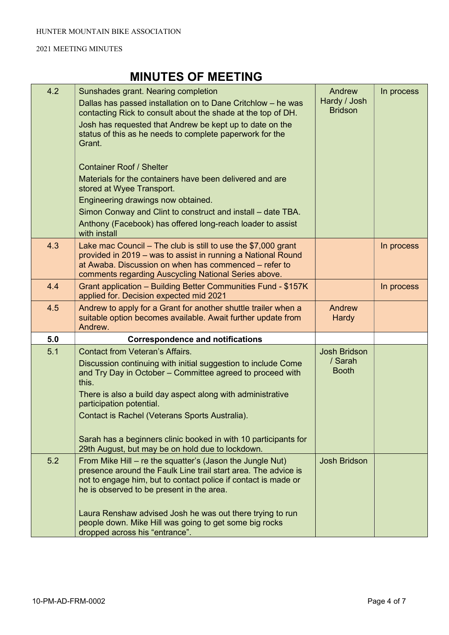| 4.2 | Sunshades grant. Nearing completion                                                                                                                                                                                                              | Andrew                         | In process |
|-----|--------------------------------------------------------------------------------------------------------------------------------------------------------------------------------------------------------------------------------------------------|--------------------------------|------------|
|     | Dallas has passed installation on to Dane Critchlow - he was<br>contacting Rick to consult about the shade at the top of DH.                                                                                                                     | Hardy / Josh<br><b>Bridson</b> |            |
|     | Josh has requested that Andrew be kept up to date on the<br>status of this as he needs to complete paperwork for the<br>Grant.                                                                                                                   |                                |            |
|     | <b>Container Roof / Shelter</b>                                                                                                                                                                                                                  |                                |            |
|     | Materials for the containers have been delivered and are<br>stored at Wyee Transport.                                                                                                                                                            |                                |            |
|     | Engineering drawings now obtained.                                                                                                                                                                                                               |                                |            |
|     | Simon Conway and Clint to construct and install – date TBA.                                                                                                                                                                                      |                                |            |
|     | Anthony (Facebook) has offered long-reach loader to assist<br>with install                                                                                                                                                                       |                                |            |
| 4.3 | Lake mac Council $-$ The club is still to use the \$7,000 grant<br>provided in 2019 – was to assist in running a National Round<br>at Awaba. Discussion on when has commenced – refer to<br>comments regarding Auscycling National Series above. |                                | In process |
| 4.4 | Grant application - Building Better Communities Fund - \$157K<br>applied for. Decision expected mid 2021                                                                                                                                         |                                | In process |
| 4.5 | Andrew to apply for a Grant for another shuttle trailer when a<br>suitable option becomes available. Await further update from<br>Andrew.                                                                                                        | Andrew<br><b>Hardy</b>         |            |
| 5.0 | <b>Correspondence and notifications</b>                                                                                                                                                                                                          |                                |            |
| 5.1 | <b>Contact from Veteran's Affairs.</b>                                                                                                                                                                                                           | <b>Josh Bridson</b>            |            |
|     | Discussion continuing with initial suggestion to include Come<br>and Try Day in October - Committee agreed to proceed with<br>this.                                                                                                              | / Sarah<br><b>Booth</b>        |            |
|     | There is also a build day aspect along with administrative<br>participation potential.                                                                                                                                                           |                                |            |
|     | Contact is Rachel (Veterans Sports Australia).                                                                                                                                                                                                   |                                |            |
|     | Sarah has a beginners clinic booked in with 10 participants for<br>29th August, but may be on hold due to lockdown.                                                                                                                              |                                |            |
| 5.2 | From Mike Hill - re the squatter's (Jason the Jungle Nut)<br>presence around the Faulk Line trail start area. The advice is<br>not to engage him, but to contact police if contact is made or<br>he is observed to be present in the area.       | Josh Bridson                   |            |
|     | Laura Renshaw advised Josh he was out there trying to run<br>people down. Mike Hill was going to get some big rocks<br>dropped across his "entrance".                                                                                            |                                |            |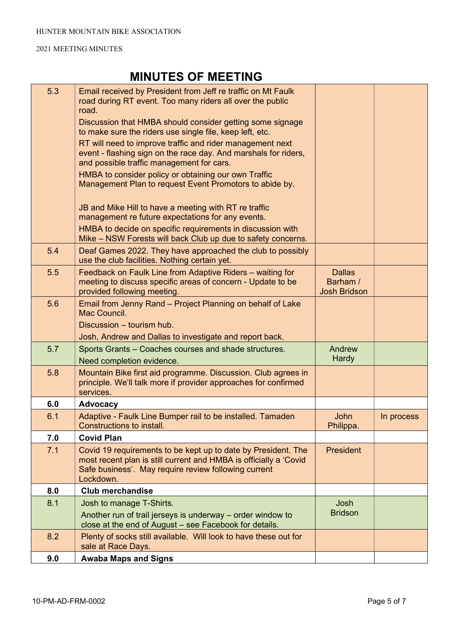| 5.3 | Email received by President from Jeff re traffic on Mt Faulk<br>road during RT event. Too many riders all over the public<br>road.                                                                      |                                                  |            |
|-----|---------------------------------------------------------------------------------------------------------------------------------------------------------------------------------------------------------|--------------------------------------------------|------------|
|     | Discussion that HMBA should consider getting some signage<br>to make sure the riders use single file, keep left, etc.                                                                                   |                                                  |            |
|     | RT will need to improve traffic and rider management next<br>event - flashing sign on the race day. And marshals for riders,<br>and possible traffic management for cars.                               |                                                  |            |
|     | HMBA to consider policy or obtaining our own Traffic<br>Management Plan to request Event Promotors to abide by.                                                                                         |                                                  |            |
|     | JB and Mike Hill to have a meeting with RT re traffic<br>management re future expectations for any events.                                                                                              |                                                  |            |
|     | HMBA to decide on specific requirements in discussion with<br>Mike – NSW Forests will back Club up due to safety concerns.                                                                              |                                                  |            |
| 5.4 | Deaf Games 2022. They have approached the club to possibly<br>use the club facilities. Nothing certain yet.                                                                                             |                                                  |            |
| 5.5 | Feedback on Faulk Line from Adaptive Riders - waiting for<br>meeting to discuss specific areas of concern - Update to be<br>provided following meeting.                                                 | <b>Dallas</b><br>Barham /<br><b>Josh Bridson</b> |            |
| 5.6 | Email from Jenny Rand - Project Planning on behalf of Lake<br>Mac Council.                                                                                                                              |                                                  |            |
|     | Discussion - tourism hub.                                                                                                                                                                               |                                                  |            |
|     | Josh, Andrew and Dallas to investigate and report back.                                                                                                                                                 |                                                  |            |
| 5.7 | Sports Grants – Coaches courses and shade structures.<br>Need completion evidence.                                                                                                                      | Andrew<br><b>Hardy</b>                           |            |
| 5.8 | Mountain Bike first aid programme. Discussion. Club agrees in<br>principle. We'll talk more if provider approaches for confirmed<br>services.                                                           |                                                  |            |
| 6.0 | <b>Advocacy</b>                                                                                                                                                                                         |                                                  |            |
| 6.1 | Adaptive - Faulk Line Bumper rail to be installed. Tamaden<br>Constructions to install.                                                                                                                 | John<br>Philippa.                                | In process |
| 7.0 | <b>Covid Plan</b>                                                                                                                                                                                       |                                                  |            |
| 7.1 | Covid 19 requirements to be kept up to date by President. The<br>most recent plan is still current and HMBA is officially a 'Covid<br>Safe business'. May require review following current<br>Lockdown. | President                                        |            |
| 8.0 | <b>Club merchandise</b>                                                                                                                                                                                 |                                                  |            |
| 8.1 | Josh to manage T-Shirts.                                                                                                                                                                                | Josh                                             |            |
|     | Another run of trail jerseys is underway – order window to<br>close at the end of August - see Facebook for details.                                                                                    | <b>Bridson</b>                                   |            |
| 8.2 | Plenty of socks still available. Will look to have these out for<br>sale at Race Days.                                                                                                                  |                                                  |            |
| 9.0 | <b>Awaba Maps and Signs</b>                                                                                                                                                                             |                                                  |            |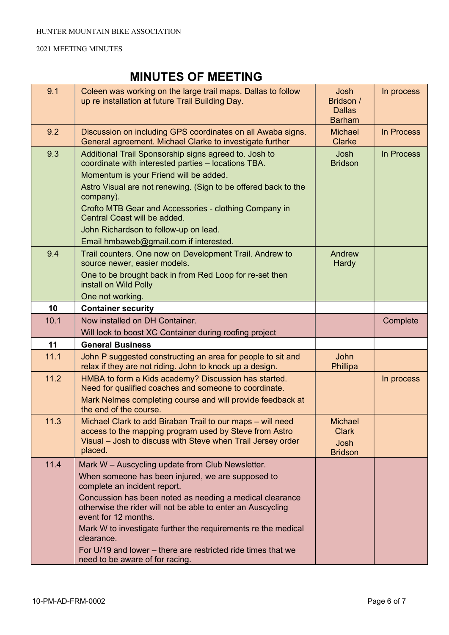| 9.1  | Coleen was working on the large trail maps. Dallas to follow<br>up re installation at future Trail Building Day.                                                                                                                                                                                                                                                                                                                                                           | Josh<br>Bridson /<br><b>Dallas</b><br><b>Barham</b>      | In process |
|------|----------------------------------------------------------------------------------------------------------------------------------------------------------------------------------------------------------------------------------------------------------------------------------------------------------------------------------------------------------------------------------------------------------------------------------------------------------------------------|----------------------------------------------------------|------------|
| 9.2  | Discussion on including GPS coordinates on all Awaba signs.<br>General agreement. Michael Clarke to investigate further                                                                                                                                                                                                                                                                                                                                                    | <b>Michael</b><br><b>Clarke</b>                          | In Process |
| 9.3  | Additional Trail Sponsorship signs agreed to. Josh to<br>coordinate with interested parties - locations TBA.<br>Momentum is your Friend will be added.<br>Astro Visual are not renewing. (Sign to be offered back to the<br>company).<br>Crofto MTB Gear and Accessories - clothing Company in<br>Central Coast will be added.<br>John Richardson to follow-up on lead.<br>Email hmbaweb@gmail.com if interested.                                                          | Josh<br><b>Bridson</b>                                   | In Process |
| 9.4  | Trail counters. One now on Development Trail. Andrew to<br>source newer, easier models.<br>One to be brought back in from Red Loop for re-set then<br>install on Wild Polly<br>One not working.                                                                                                                                                                                                                                                                            | Andrew<br><b>Hardy</b>                                   |            |
| 10   | <b>Container security</b>                                                                                                                                                                                                                                                                                                                                                                                                                                                  |                                                          |            |
| 10.1 | Now installed on DH Container.                                                                                                                                                                                                                                                                                                                                                                                                                                             |                                                          | Complete   |
|      | Will look to boost XC Container during roofing project                                                                                                                                                                                                                                                                                                                                                                                                                     |                                                          |            |
| 11   | <b>General Business</b>                                                                                                                                                                                                                                                                                                                                                                                                                                                    |                                                          |            |
| 11.1 | John P suggested constructing an area for people to sit and<br>relax if they are not riding. John to knock up a design.                                                                                                                                                                                                                                                                                                                                                    | <b>John</b><br>Phillipa                                  |            |
| 11.2 | HMBA to form a Kids academy? Discussion has started.<br>Need for qualified coaches and someone to coordinate.<br>Mark Nelmes completing course and will provide feedback at<br>the end of the course.                                                                                                                                                                                                                                                                      |                                                          | In process |
| 11.3 | Michael Clark to add Biraban Trail to our maps - will need<br>access to the mapping program used by Steve from Astro<br>Visual - Josh to discuss with Steve when Trail Jersey order<br>placed.                                                                                                                                                                                                                                                                             | <b>Michael</b><br><b>Clark</b><br>Josh<br><b>Bridson</b> |            |
| 11.4 | Mark W - Auscycling update from Club Newsletter.<br>When someone has been injured, we are supposed to<br>complete an incident report.<br>Concussion has been noted as needing a medical clearance<br>otherwise the rider will not be able to enter an Auscycling<br>event for 12 months.<br>Mark W to investigate further the requirements re the medical<br>clearance.<br>For U/19 and lower – there are restricted ride times that we<br>need to be aware of for racing. |                                                          |            |